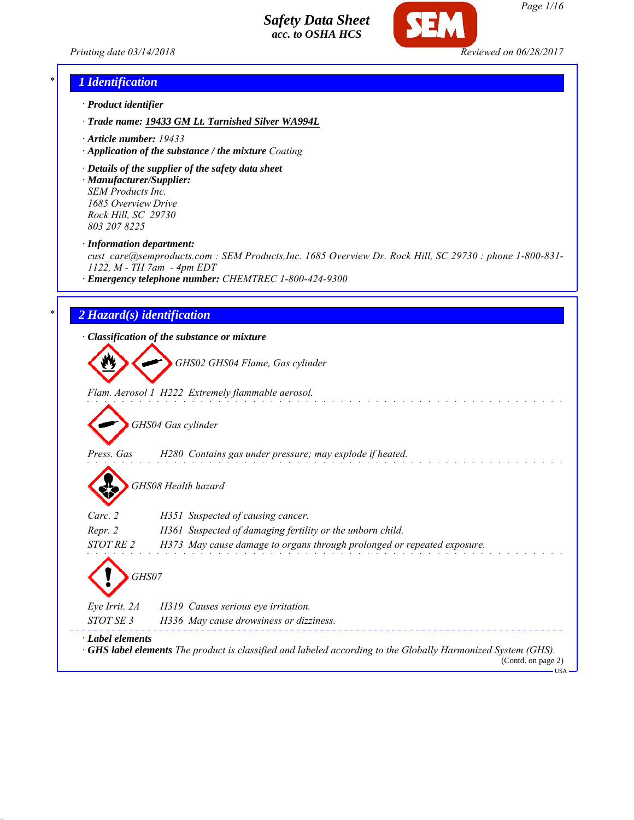



## *\* 1 Identification*

- *· Product identifier*
- *· Trade name: 19433 GM Lt. Tarnished Silver WA994L*
- *· Article number: 19433*
- *· Application of the substance / the mixture Coating*
- *· Details of the supplier of the safety data sheet · Manufacturer/Supplier: SEM Products Inc.*

*1685 Overview Drive Rock Hill, SC 29730 803 207 8225*

*· Information department:*

*cust\_care@semproducts.com : SEM Products,Inc. 1685 Overview Dr. Rock Hill, SC 29730 : phone 1-800-831- 1122, M - TH 7am - 4pm EDT*

*· Emergency telephone number: CHEMTREC 1-800-424-9300*

### *\* 2 Hazard(s) identification*

*· Classification of the substance or mixture*

*GHS02 GHS04 Flame, Gas cylinder*

*Flam. Aerosol 1 H222 Extremely flammable aerosol.*

*GHS04 Gas cylinder*

*Press. Gas H280 Contains gas under pressure; may explode if heated.*

*GHS08 Health hazard*

| $\mathbf{v}$           |                                                                                                                                           |
|------------------------|-------------------------------------------------------------------------------------------------------------------------------------------|
| Carc. 2                | H351 Suspected of causing cancer.                                                                                                         |
| Repr. 2                | H361 Suspected of damaging fertility or the unborn child.                                                                                 |
| STOT RE 2              | H373 May cause damage to organs through prolonged or repeated exposure.                                                                   |
| GHS07<br>Eye Irrit. 2A | H319 Causes serious eye irritation.                                                                                                       |
| STOT SE 3              |                                                                                                                                           |
|                        | H336 May cause drowsiness or dizziness.                                                                                                   |
| · Label elements       | $\cdot$ GHS label elements The product is classified and labeled according to the Globally Harmonized System (GHS).<br>(Contd. on page 2) |

 $-<sup>T</sup>$ ISA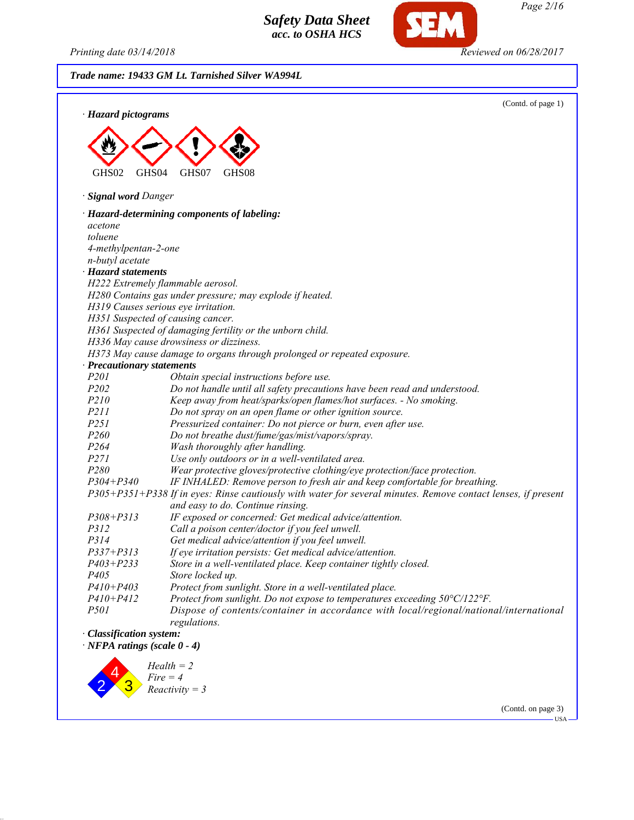*Printing date 03/14/2018 Reviewed on 06/28/2017*

**SEM** 

*Page 2/16*

|                                    | (Contd. of page 1)                                                                                            |
|------------------------------------|---------------------------------------------------------------------------------------------------------------|
| · Hazard pictograms                |                                                                                                               |
|                                    |                                                                                                               |
|                                    |                                                                                                               |
|                                    |                                                                                                               |
| GHS02<br>GHS <sub>04</sub>         | GHS07<br>GHS <sub>08</sub>                                                                                    |
| · Signal word Danger               |                                                                                                               |
|                                    |                                                                                                               |
| acetone                            | · Hazard-determining components of labeling:                                                                  |
| toluene                            |                                                                                                               |
| 4-methylpentan-2-one               |                                                                                                               |
| n-butyl acetate                    |                                                                                                               |
| · Hazard statements                |                                                                                                               |
|                                    | H222 Extremely flammable aerosol.                                                                             |
|                                    | H280 Contains gas under pressure; may explode if heated.                                                      |
|                                    | H319 Causes serious eye irritation.                                                                           |
|                                    | H351 Suspected of causing cancer.                                                                             |
|                                    | H361 Suspected of damaging fertility or the unborn child.                                                     |
|                                    | H336 May cause drowsiness or dizziness.                                                                       |
|                                    | H373 May cause damage to organs through prolonged or repeated exposure.                                       |
| · Precautionary statements         |                                                                                                               |
| P201                               | Obtain special instructions before use.                                                                       |
| P202                               | Do not handle until all safety precautions have been read and understood.                                     |
| P210                               | Keep away from heat/sparks/open flames/hot surfaces. - No smoking.                                            |
| P211                               | Do not spray on an open flame or other ignition source.                                                       |
| P251                               | Pressurized container: Do not pierce or burn, even after use.                                                 |
| P260                               | Do not breathe dust/fume/gas/mist/vapors/spray.                                                               |
| P <sub>264</sub>                   | Wash thoroughly after handling.                                                                               |
| P271                               | Use only outdoors or in a well-ventilated area.                                                               |
| P280                               | Wear protective gloves/protective clothing/eye protection/face protection.                                    |
| $P304 + P340$                      | IF INHALED: Remove person to fresh air and keep comfortable for breathing.                                    |
|                                    | P305+P351+P338 If in eyes: Rinse cautiously with water for several minutes. Remove contact lenses, if present |
|                                    | and easy to do. Continue rinsing.                                                                             |
| $P308 + P313$                      | IF exposed or concerned: Get medical advice/attention.                                                        |
| P312                               | Call a poison center/doctor if you feel unwell.                                                               |
| P314                               | Get medical advice/attention if you feel unwell.                                                              |
| $P337 + P313$                      | If eye irritation persists: Get medical advice/attention.                                                     |
| $P403 + P233$                      | Store in a well-ventilated place. Keep container tightly closed.                                              |
| P <sub>405</sub>                   | Store locked up.                                                                                              |
| $P410 + P403$                      | Protect from sunlight. Store in a well-ventilated place.                                                      |
| $P410 + P412$                      | Protect from sunlight. Do not expose to temperatures exceeding 50°C/122°F.                                    |
| <i>P501</i>                        | Dispose of contents/container in accordance with local/regional/national/international<br>regulations.        |
| · Classification system:           |                                                                                                               |
| $\cdot$ NFPA ratings (scale 0 - 4) |                                                                                                               |
|                                    |                                                                                                               |

 $\begin{array}{c} \mathbf{2} \ \mathbf{3} \end{array}$ *Fire = 4 Reactivity = 3*

(Contd. on page 3)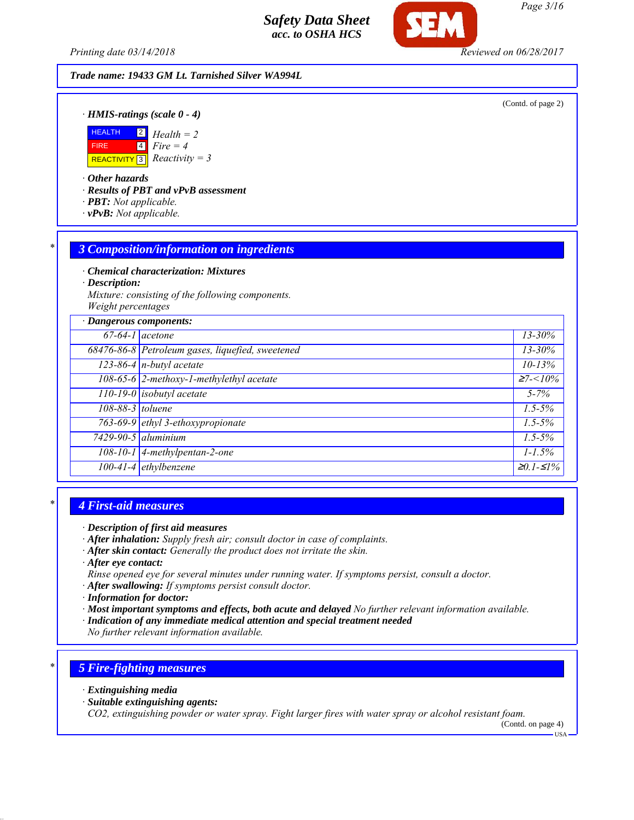*Printing date 03/14/2018 Reviewed on 06/28/2017*

#### *Trade name: 19433 GM Lt. Tarnished Silver WA994L*

(Contd. of page 2)

*· HMIS-ratings (scale 0 - 4)*



*· Other hazards*

*· Results of PBT and vPvB assessment*

- *· PBT: Not applicable.*
- *· vPvB: Not applicable.*

#### *\* 3 Composition/information on ingredients*

*· Chemical characterization: Mixtures*

*· Description:*

*Mixture: consisting of the following components. Weight percentages*

|                  | · Dangerous components:                          |                 |  |
|------------------|--------------------------------------------------|-----------------|--|
|                  | $67-64-1$ acetone                                | $13 - 30\%$     |  |
|                  | 68476-86-8 Petroleum gases, liquefied, sweetened | $13 - 30\%$     |  |
|                  | $123-86-4$ n-butyl acetate                       | $10 - 13%$      |  |
|                  | 108-65-6 2-methoxy-1-methylethyl acetate         | $\geq 7 < 10\%$ |  |
|                  | $110-19-0$ isobutyl acetate                      | $5 - 7\%$       |  |
| 108-88-3 toluene |                                                  | $1.5 - 5\%$     |  |
|                  | 763-69-9 ethyl 3-ethoxypropionate                | $1.5 - 5\%$     |  |
|                  | $7429 - 90 - 5$ aluminium                        | $1.5 - 5\%$     |  |
|                  | $108-10-1$ 4-methylpentan-2-one                  | $1 - 1.5\%$     |  |
|                  | $\overline{100-41-4}$ ethylbenzene               | $≥0.1-S1%$      |  |

#### *\* 4 First-aid measures*

- *· After inhalation: Supply fresh air; consult doctor in case of complaints.*
- *· After skin contact: Generally the product does not irritate the skin.*
- *· After eye contact:*
- *Rinse opened eye for several minutes under running water. If symptoms persist, consult a doctor.*
- *· After swallowing: If symptoms persist consult doctor.*
- *· Information for doctor:*
- *· Most important symptoms and effects, both acute and delayed No further relevant information available.*
- *· Indication of any immediate medical attention and special treatment needed*

*No further relevant information available.*

## *\* 5 Fire-fighting measures*

- *· Extinguishing media*
- *· Suitable extinguishing agents:*

*CO2, extinguishing powder or water spray. Fight larger fires with water spray or alcohol resistant foam.*

(Contd. on page 4)

*<sup>·</sup> Description of first aid measures*

USA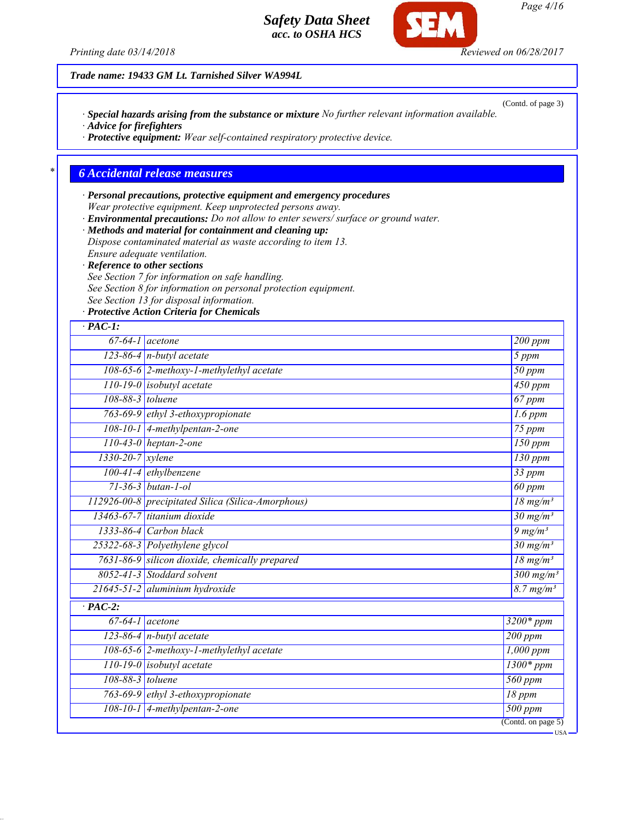*Printing date 03/14/2018 Reviewed on 06/28/2017*

*Trade name: 19433 GM Lt. Tarnished Silver WA994L*

*· Special hazards arising from the substance or mixture No further relevant information available.*

*· Advice for firefighters*

*· Protective equipment: Wear self-contained respiratory protective device.*

## *\* 6 Accidental release measures*

*· Personal precautions, protective equipment and emergency procedures Wear protective equipment. Keep unprotected persons away. · Environmental precautions: Do not allow to enter sewers/ surface or ground water.*

*· Methods and material for containment and cleaning up:*

*Dispose contaminated material as waste according to item 13.*

*Ensure adequate ventilation.*

*· Reference to other sections See Section 7 for information on safe handling.*

*See Section 8 for information on personal protection equipment.*

*See Section 13 for disposal information.*

*· Protective Action Criteria for Chemicals*

| $\cdot$ PAC-1:                           |                                                       |                            |
|------------------------------------------|-------------------------------------------------------|----------------------------|
|                                          | $67-64-1$ acetone                                     | 200 ppm                    |
|                                          | $123-86-4$ n-butyl acetate                            | 5 ppm                      |
| 108-65-6 2-methoxy-1-methylethyl acetate |                                                       | $50$ ppm                   |
| 110-19-0 isobutyl acetate                |                                                       | 450 ppm                    |
| 108-88-3 toluene                         |                                                       | $67$ ppm                   |
| 763-69-9 ethyl 3-ethoxypropionate        |                                                       | $1.6$ ppm                  |
| 108-10-1 4-methylpentan-2-one            |                                                       | $75$ ppm                   |
|                                          | 110-43-0 heptan-2-one                                 | $150$ ppm                  |
| 1330-20-7 xylene                         |                                                       | $\overline{130}$ ppm       |
|                                          | 100-41-4 ethylbenzene                                 | $33$ ppm                   |
|                                          | $71 - 36 - 3$ butan-1-ol                              | $\overline{60}$ ppm        |
|                                          | 112926-00-8 precipitated Silica (Silica-Amorphous)    | $\sqrt{18 \text{ mg/m}^3}$ |
|                                          | 13463-67-7 titanium dioxide                           | $30 \,\mathrm{mg/m^3}$     |
| $1333-86-4$ Carbon black                 |                                                       | $9 \frac{mg}{m^3}$         |
|                                          | 25322-68-3 Polyethylene glycol                        | $30 \text{ mg/m}^3$        |
|                                          | 7631-86-9 silicon dioxide, chemically prepared        | $\sqrt{18 \text{ mg}}/m^3$ |
|                                          | 8052-41-3 Stoddard solvent                            | $300$ mg/m <sup>3</sup>    |
|                                          | 21645-51-2 aluminium hydroxide                        | $8.7$ mg/m <sup>3</sup>    |
| $\overline{PAC-2}$ :                     |                                                       |                            |
|                                          | $67-64-1$ acetone                                     | 3200* ppm                  |
|                                          | $123-86-4$ n-butyl acetate<br>$200$ ppm               |                            |
|                                          | 108-65-6 2-methoxy-1-methylethyl acetate<br>1,000 ppm |                            |
|                                          | 110-19-0 isobutyl acetate                             | $1300*ppm$                 |
| 108-88-3 toluene                         |                                                       | 560 ppm                    |
|                                          | 763-69-9 ethyl 3-ethoxypropionate                     | 18 ppm                     |
|                                          | 108-10-1 4-methylpentan-2-one                         | $500$ ppm                  |
|                                          |                                                       | (Contd. on page 5)         |

*Page 4/16*

(Contd. of page 3)

USA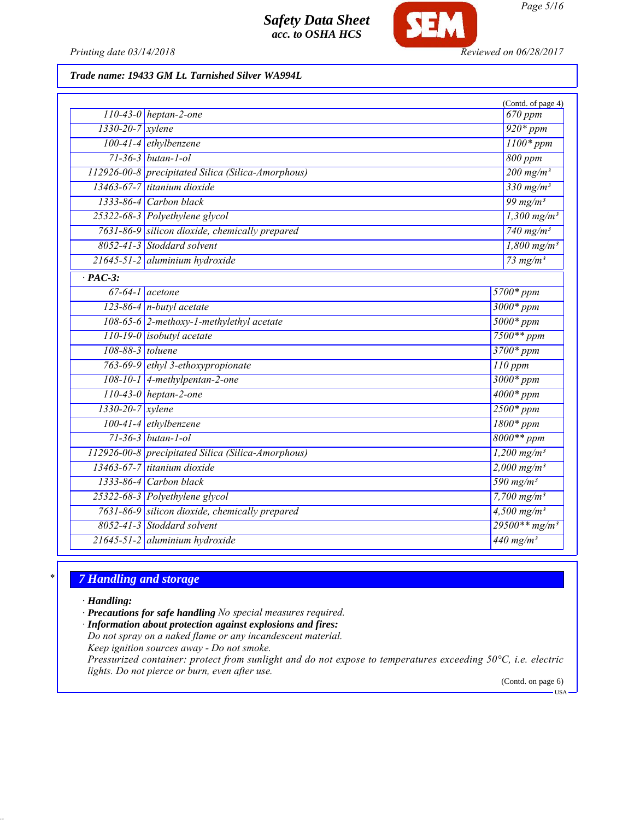

*Printing date 03/14/2018 Reviewed on 06/28/2017*

*Trade name: 19433 GM Lt. Tarnished Silver WA994L*

|                      |                                                                             | (Contd. of page 4)                              |
|----------------------|-----------------------------------------------------------------------------|-------------------------------------------------|
|                      | $110-43-0$ heptan-2-one                                                     | 670 ppm                                         |
| 1330-20-7 xylene     |                                                                             | $920*ppm$                                       |
|                      | $100-41-4$ ethylbenzene                                                     |                                                 |
|                      | 71-36-3 butan-1-ol                                                          | 800 ppm                                         |
|                      | 112926-00-8 precipitated Silica (Silica-Amorphous)                          | $\frac{200 \text{ mg/m}^3}{200 \text{ mg/m}^3}$ |
|                      | 13463-67-7 titanium dioxide                                                 | $330$ mg/m <sup>3</sup>                         |
|                      | 1333-86-4 Carbon black                                                      | $99$ mg/m <sup>3</sup>                          |
|                      | 25322-68-3 Polyethylene glycol                                              | $1,300$ mg/m <sup>3</sup>                       |
|                      | 7631-86-9 silicon dioxide, chemically prepared                              | $740$ mg/m <sup>3</sup>                         |
|                      | 8052-41-3 Stoddard solvent                                                  | $1,800$ mg/m <sup>3</sup>                       |
|                      | 21645-51-2 aluminium hydroxide                                              | 73 mg/ $m^3$                                    |
| $\overline{PAC-3}$ : |                                                                             |                                                 |
|                      | $67-64-1$ acetone                                                           | $5700*ppm$                                      |
|                      | $123-86-4$ n-butyl acetate                                                  | $3000*ppm$                                      |
|                      | 108-65-6 2-methoxy-1-methylethyl acetate<br>$5000*ppm$                      |                                                 |
|                      | $110-19-0$ isobutyl acetate<br>$7500**$ ppm                                 |                                                 |
|                      | 108-88-3 toluene<br>$3700*ppm$                                              |                                                 |
|                      | 763-69-9 ethyl 3-ethoxypropionate<br>$110$ ppm                              |                                                 |
|                      | 108-10-1 4-methylpentan-2-one<br>$3000*ppm$                                 |                                                 |
|                      | $110-43-0$ heptan-2-one<br>$4000*ppm$                                       |                                                 |
| 1330-20-7 xylene     |                                                                             | $2500*ppm$                                      |
|                      | $100-41-4$ ethylbenzene                                                     | $1800*ppm$                                      |
|                      | $71 - 36 - 3$ butan-1-ol                                                    | $8000**$ ppm                                    |
|                      | 112926-00-8 precipitated Silica (Silica-Amorphous)                          | $1,200$ mg/m <sup>3</sup>                       |
|                      | 13463-67-7 titanium dioxide<br>$2,000 \text{ mg/m}^3$                       |                                                 |
|                      | 1333-86-4 Carbon black                                                      | 590 mg/m <sup>3</sup>                           |
|                      | 25322-68-3 Polyethylene glycol                                              | $7,700$ mg/m <sup>3</sup>                       |
|                      | 7631-86-9 silicon dioxide, chemically prepared<br>$4,500$ mg/m <sup>3</sup> |                                                 |
|                      | $29500**mg/m^3$<br>8052-41-3 Stoddard solvent                               |                                                 |
|                      | 21645-51-2 aluminium hydroxide                                              | $440$ mg/m <sup>3</sup>                         |

# *\* 7 Handling and storage*

*· Handling:*

*· Precautions for safe handling No special measures required.*

*· Information about protection against explosions and fires:*

*Do not spray on a naked flame or any incandescent material. Keep ignition sources away - Do not smoke.*

*Pressurized container: protect from sunlight and do not expose to temperatures exceeding 50°C, i.e. electric lights. Do not pierce or burn, even after use.*

(Contd. on page 6) USA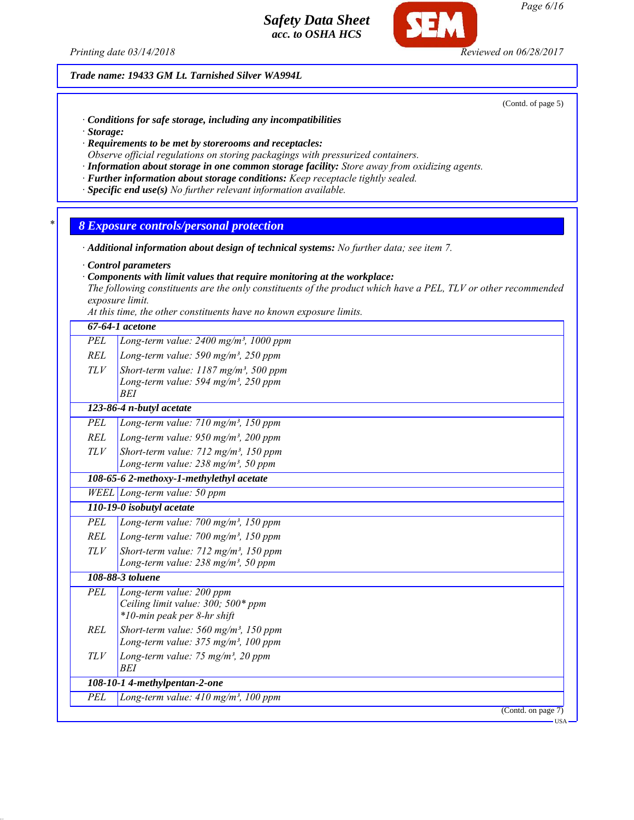*Printing date 03/14/2018 Reviewed on 06/28/2017*

*Trade name: 19433 GM Lt. Tarnished Silver WA994L*

(Contd. of page 5)

- *· Conditions for safe storage, including any incompatibilities*
- *· Storage:*
- *· Requirements to be met by storerooms and receptacles:*
- *Observe official regulations on storing packagings with pressurized containers.*
- *· Information about storage in one common storage facility: Store away from oxidizing agents.*
- *· Further information about storage conditions: Keep receptacle tightly sealed.*
- *· Specific end use(s) No further relevant information available.*
- *\* 8 Exposure controls/personal protection*
- *· Additional information about design of technical systems: No further data; see item 7.*
- *· Control parameters*
- *· Components with limit values that require monitoring at the workplace:*

*The following constituents are the only constituents of the product which have a PEL, TLV or other recommended exposure limit.*

*At this time, the other constituents have no known exposure limits.*

|            | 67-64-1 acetone                                                                                                        |  |  |
|------------|------------------------------------------------------------------------------------------------------------------------|--|--|
| PEL        | Long-term value: $2400$ mg/m <sup>3</sup> , 1000 ppm                                                                   |  |  |
| REL        | Long-term value: 590 mg/m <sup>3</sup> , 250 ppm                                                                       |  |  |
| <b>TLV</b> | Short-term value: $1187$ mg/m <sup>3</sup> , 500 ppm<br>Long-term value: 594 mg/m <sup>3</sup> , 250 ppm<br><b>BEI</b> |  |  |
|            | 123-86-4 n-butyl acetate                                                                                               |  |  |
| PEL        | Long-term value: $710$ mg/m <sup>3</sup> , $150$ ppm                                                                   |  |  |
| REL        | Long-term value: $950$ mg/m <sup>3</sup> , 200 ppm                                                                     |  |  |
| TLV        | Short-term value: $712$ mg/m <sup>3</sup> , 150 ppm<br>Long-term value: $238$ mg/m <sup>3</sup> , 50 ppm               |  |  |
|            | 108-65-6 2-methoxy-1-methylethyl acetate                                                                               |  |  |
|            | WEEL Long-term value: $50$ ppm                                                                                         |  |  |
|            | 110-19-0 isobutyl acetate                                                                                              |  |  |
| PEL        | Long-term value: $700$ mg/m <sup>3</sup> , $150$ ppm                                                                   |  |  |
| <b>REL</b> | Long-term value: $700$ mg/m <sup>3</sup> , 150 ppm                                                                     |  |  |
| TLV        | Short-term value: 712 mg/m <sup>3</sup> , 150 ppm<br>Long-term value: $238$ mg/m <sup>3</sup> , 50 ppm                 |  |  |
|            | 108-88-3 toluene                                                                                                       |  |  |
| PEL        | Long-term value: 200 ppm<br>Ceiling limit value: 300; 500* ppm<br>*10-min peak per 8-hr shift                          |  |  |
| <b>REL</b> | Short-term value: $560$ mg/m <sup>3</sup> , 150 ppm<br>Long-term value: $375 \text{ mg/m}^3$ , 100 ppm                 |  |  |
| TLV        | Long-term value: 75 mg/m <sup>3</sup> , 20 ppm<br>BEI                                                                  |  |  |
|            | 108-10-1 4-methylpentan-2-one                                                                                          |  |  |
| PEL        | Long-term value: 410 mg/m <sup>3</sup> , 100 ppm                                                                       |  |  |
|            | $\overline{(\text{Contd. on page 7})}$                                                                                 |  |  |
|            | USA-                                                                                                                   |  |  |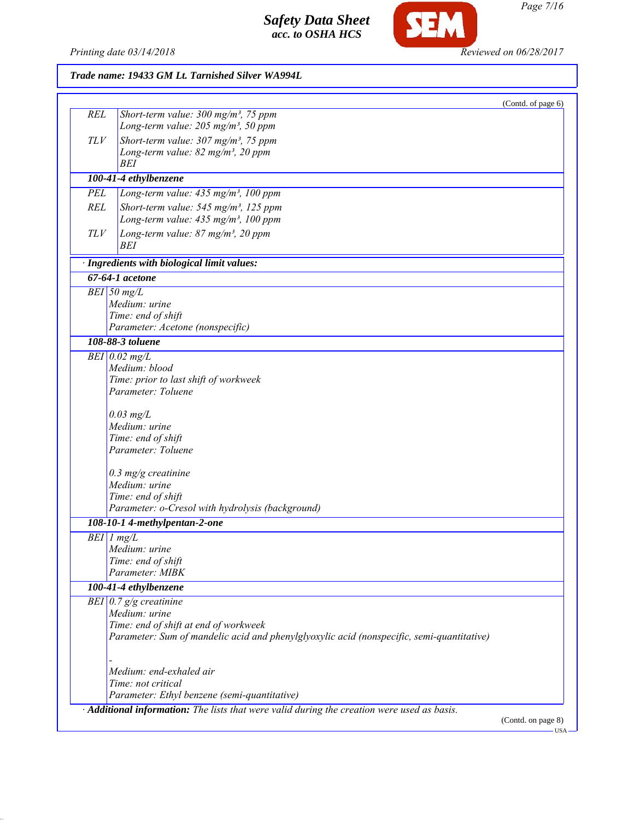

**SEM** 

|            |                                                                                           | (Contd. of page 6) |
|------------|-------------------------------------------------------------------------------------------|--------------------|
| <b>REL</b> | Short-term value: $300$ mg/m <sup>3</sup> , 75 ppm                                        |                    |
|            | Long-term value: $205$ mg/m <sup>3</sup> , 50 ppm                                         |                    |
| TLV        | Short-term value: $307 \text{ mg/m}^3$ , 75 ppm                                           |                    |
|            | Long-term value: 82 mg/m <sup>3</sup> , 20 ppm                                            |                    |
|            | BEI                                                                                       |                    |
|            | 100-41-4 ethylbenzene                                                                     |                    |
| PEL        | Long-term value: 435 mg/m <sup>3</sup> , 100 ppm                                          |                    |
| <b>REL</b> | Short-term value: $545$ mg/m <sup>3</sup> , 125 ppm                                       |                    |
|            | Long-term value: 435 mg/m <sup>3</sup> , 100 ppm                                          |                    |
| TLV        | Long-term value: $87$ mg/m <sup>3</sup> , 20 ppm                                          |                    |
|            | BEI                                                                                       |                    |
|            | · Ingredients with biological limit values:                                               |                    |
|            | 67-64-1 acetone                                                                           |                    |
|            | $BEI$ 50 mg/L                                                                             |                    |
|            | Medium: urine                                                                             |                    |
|            | Time: end of shift                                                                        |                    |
|            | Parameter: Acetone (nonspecific)                                                          |                    |
|            | 108-88-3 toluene                                                                          |                    |
|            | $BEI$ 0.02 mg/L                                                                           |                    |
|            | Medium: blood                                                                             |                    |
|            | Time: prior to last shift of workweek                                                     |                    |
|            | Parameter: Toluene                                                                        |                    |
|            | $0.03$ mg/L                                                                               |                    |
|            | Medium: urine                                                                             |                    |
|            | Time: end of shift                                                                        |                    |
|            | Parameter: Toluene                                                                        |                    |
|            | $0.3$ mg/g creatinine                                                                     |                    |
|            | Medium: urine                                                                             |                    |
|            | Time: end of shift                                                                        |                    |
|            | Parameter: o-Cresol with hydrolysis (background)                                          |                    |
|            | 108-10-1 4-methylpentan-2-one                                                             |                    |
|            | $BEI$ $1$ $mg/L$                                                                          |                    |
|            | Medium: urine                                                                             |                    |
|            | Time: end of shift                                                                        |                    |
|            | Parameter: MIBK                                                                           |                    |
|            | 100-41-4 ethylbenzene                                                                     |                    |
|            | BEI $0.7$ g/g creatinine                                                                  |                    |
|            | Medium: urine                                                                             |                    |
|            | Time: end of shift at end of workweek                                                     |                    |
|            | Parameter: Sum of mandelic acid and phenylglyoxylic acid (nonspecific, semi-quantitative) |                    |
|            |                                                                                           |                    |
|            | Medium: end-exhaled air                                                                   |                    |
|            | Time: not critical                                                                        |                    |
|            | Parameter: Ethyl benzene (semi-quantitative)                                              |                    |
|            |                                                                                           |                    |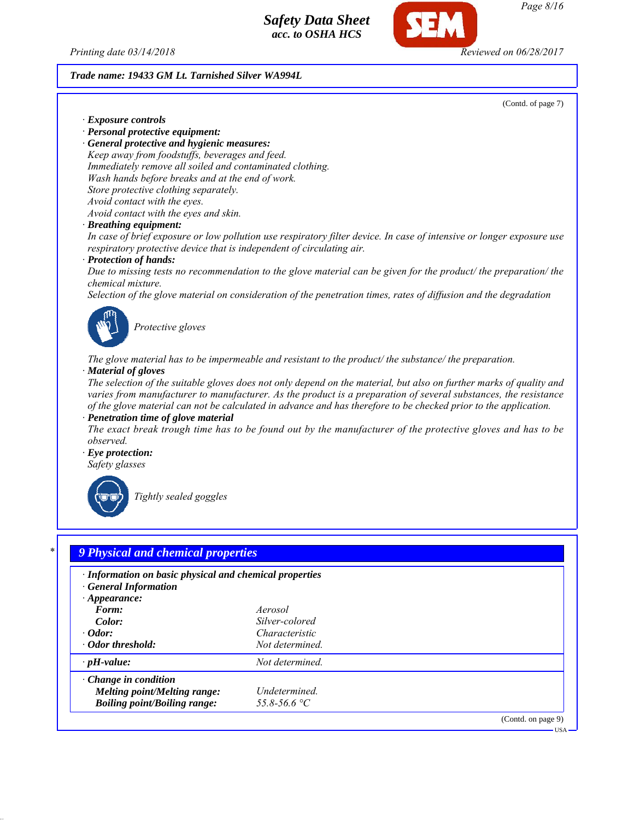

*Page 8/16*

#### *Trade name: 19433 GM Lt. Tarnished Silver WA994L*

(Contd. of page 7)

USA

*· Exposure controls*

*· Personal protective equipment:*

*· General protective and hygienic measures: Keep away from foodstuffs, beverages and feed. Immediately remove all soiled and contaminated clothing. Wash hands before breaks and at the end of work. Store protective clothing separately. Avoid contact with the eyes. Avoid contact with the eyes and skin.*

*· Breathing equipment:*

*In case of brief exposure or low pollution use respiratory filter device. In case of intensive or longer exposure use respiratory protective device that is independent of circulating air.*

#### *· Protection of hands:*

*Due to missing tests no recommendation to the glove material can be given for the product/ the preparation/ the chemical mixture.*

*Selection of the glove material on consideration of the penetration times, rates of diffusion and the degradation*



*Protective gloves*

*The glove material has to be impermeable and resistant to the product/ the substance/ the preparation. · Material of gloves*

*The selection of the suitable gloves does not only depend on the material, but also on further marks of quality and varies from manufacturer to manufacturer. As the product is a preparation of several substances, the resistance of the glove material can not be calculated in advance and has therefore to be checked prior to the application.*

*· Penetration time of glove material*

*The exact break trough time has to be found out by the manufacturer of the protective gloves and has to be observed.*

*· Eye protection: Safety glasses*



*Tightly sealed goggles*

# *\* 9 Physical and chemical properties*

| · Information on basic physical and chemical properties<br><b>General Information</b><br>$\cdot$ Appearance:<br>Form:<br>Color:<br>$\cdot$ Odor:<br>· Odor threshold: | Aerosol<br>Silver-colored<br>Characteristic<br>Not determined. |                    |
|-----------------------------------------------------------------------------------------------------------------------------------------------------------------------|----------------------------------------------------------------|--------------------|
| $\cdot$ pH-value:                                                                                                                                                     | Not determined.                                                |                    |
| $\cdot$ Change in condition<br>Melting point/Melting range:<br><b>Boiling point/Boiling range:</b>                                                                    | Undetermined.<br>$55.8 - 56.6$ °C                              |                    |
|                                                                                                                                                                       |                                                                | (Contd. on page 9) |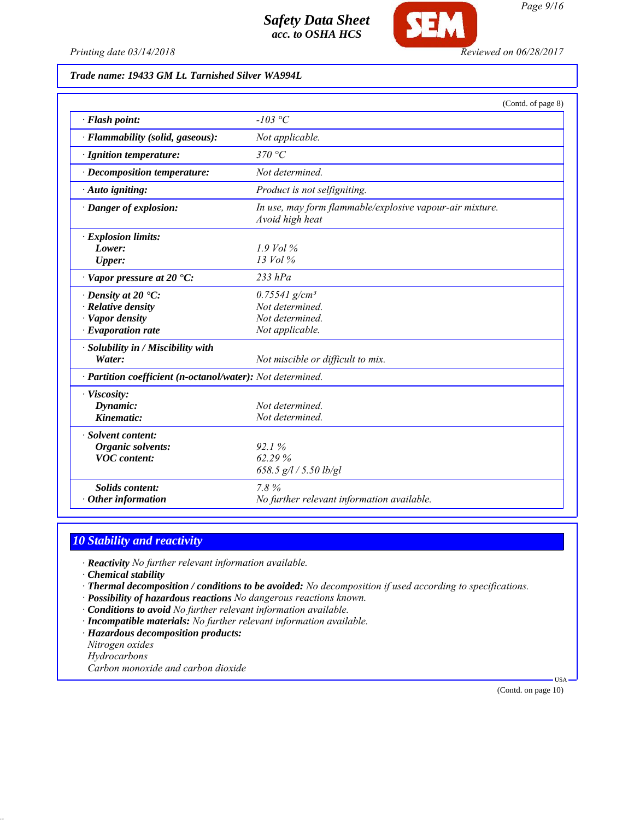

*Printing date 03/14/2018 Reviewed on 06/28/2017*

## *Trade name: 19433 GM Lt. Tarnished Silver WA994L*

|                                                                                                             |                                                                                      | (Contd. of page 8) |
|-------------------------------------------------------------------------------------------------------------|--------------------------------------------------------------------------------------|--------------------|
| · Flash point:                                                                                              | $-103$ °C                                                                            |                    |
| · Flammability (solid, gaseous):                                                                            | Not applicable.                                                                      |                    |
| · Ignition temperature:                                                                                     | 370 °C                                                                               |                    |
| · Decomposition temperature:                                                                                | Not determined.                                                                      |                    |
| $\cdot$ Auto igniting:                                                                                      | Product is not selfigniting.                                                         |                    |
| · Danger of explosion:                                                                                      | In use, may form flammable/explosive vapour-air mixture.<br>Avoid high heat          |                    |
| · Explosion limits:<br>Lower:<br><b>Upper:</b>                                                              | $1.9$ Vol $\%$<br>$13$ Vol $\%$                                                      |                    |
| $\cdot$ Vapor pressure at 20 $\cdot$ C:                                                                     | $233$ $hPa$                                                                          |                    |
| $\cdot$ Density at 20 $\cdot$ C:<br>$\cdot$ Relative density<br>· Vapor density<br>$\cdot$ Evaporation rate | $0.75541$ g/cm <sup>3</sup><br>Not determined.<br>Not determined.<br>Not applicable. |                    |
| · Solubility in / Miscibility with<br>Water:                                                                | Not miscible or difficult to mix.                                                    |                    |
| · Partition coefficient (n-octanol/water): Not determined.                                                  |                                                                                      |                    |
| · Viscosity:<br>Dynamic:<br>Kinematic:                                                                      | Not determined<br>Not determined.                                                    |                    |
| · Solvent content:<br>Organic solvents:<br><b>VOC</b> content:                                              | 92.1%<br>62.29%<br>658.5 $g/l / 5.50$ lb/gl                                          |                    |
| <b>Solids content:</b><br>$\cdot$ Other information                                                         | 7.8%<br>No further relevant information available.                                   |                    |

# *10 Stability and reactivity*

*· Reactivity No further relevant information available.*

*· Chemical stability*

- *· Thermal decomposition / conditions to be avoided: No decomposition if used according to specifications.*
- *· Possibility of hazardous reactions No dangerous reactions known.*
- *· Conditions to avoid No further relevant information available.*
- *· Incompatible materials: No further relevant information available.*
- *· Hazardous decomposition products:*

*Nitrogen oxides*

*Hydrocarbons*

*Carbon monoxide and carbon dioxide*

(Contd. on page 10)

USA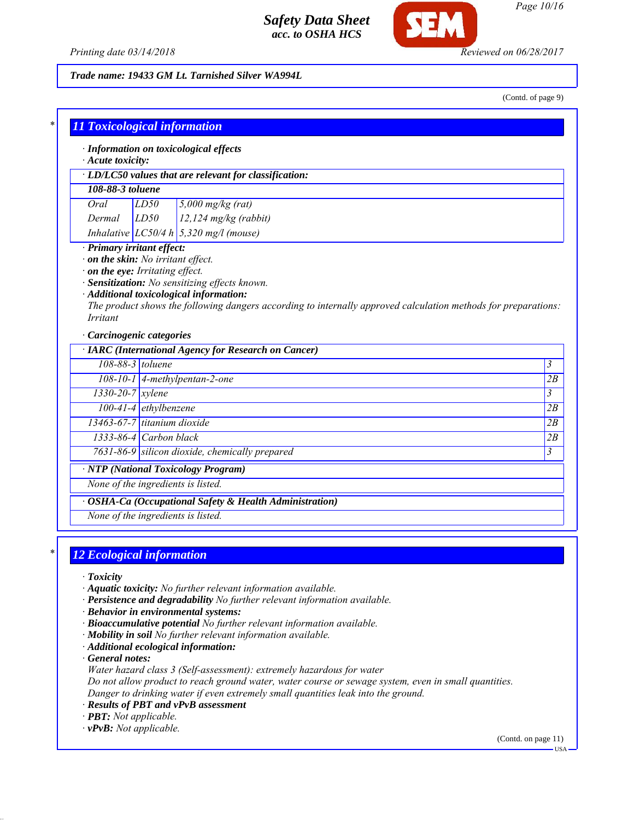

*Page 10/16*

*Printing date 03/14/2018 Reviewed on 06/28/2017*

#### *Trade name: 19433 GM Lt. Tarnished Silver WA994L*

(Contd. of page 9)

| $\cdot$ Acute toxicity:                                                                                                                                                                                                                                                                                                                                                       |                                               |                                                      |                |
|-------------------------------------------------------------------------------------------------------------------------------------------------------------------------------------------------------------------------------------------------------------------------------------------------------------------------------------------------------------------------------|-----------------------------------------------|------------------------------------------------------|----------------|
| · LD/LC50 values that are relevant for classification:                                                                                                                                                                                                                                                                                                                        |                                               |                                                      |                |
| 108-88-3 toluene                                                                                                                                                                                                                                                                                                                                                              |                                               |                                                      |                |
| Oral<br>LD50<br>$5,000$ mg/kg (rat)                                                                                                                                                                                                                                                                                                                                           |                                               |                                                      |                |
| $12,124$ mg/kg (rabbit)<br>LD50<br>Dermal                                                                                                                                                                                                                                                                                                                                     |                                               |                                                      |                |
|                                                                                                                                                                                                                                                                                                                                                                               | Inhalative $LC50/4 h \mid 5,320$ mg/l (mouse) |                                                      |                |
| · Primary irritant effect:<br>$\cdot$ on the skin: No irritant effect.<br>$\cdot$ on the eye: Irritating effect.<br>· Sensitization: No sensitizing effects known.<br>· Additional toxicological information:<br>The product shows the following dangers according to internally approved calculation methods for preparations:<br><i>Irritant</i><br>Carcinogenic categories |                                               |                                                      |                |
|                                                                                                                                                                                                                                                                                                                                                                               |                                               |                                                      |                |
| 108-88-3 toluene                                                                                                                                                                                                                                                                                                                                                              |                                               | · IARC (International Agency for Research on Cancer) | $\overline{3}$ |
|                                                                                                                                                                                                                                                                                                                                                                               |                                               | $108-10-1$ 4-methylpentan-2-one                      | 2B             |
| $1330-20-7$ xylene                                                                                                                                                                                                                                                                                                                                                            |                                               |                                                      | $\mathfrak{Z}$ |
|                                                                                                                                                                                                                                                                                                                                                                               | $100-41-4$ ethylbenzene                       |                                                      | 2B             |
| 13463-67-7 titanium dioxide                                                                                                                                                                                                                                                                                                                                                   |                                               |                                                      | 2B             |
| $1333-86-4$ Carbon black                                                                                                                                                                                                                                                                                                                                                      |                                               |                                                      |                |
|                                                                                                                                                                                                                                                                                                                                                                               |                                               | 7631-86-9 silicon dioxide, chemically prepared       | 2B<br>3        |
| None of the ingredients is listed.                                                                                                                                                                                                                                                                                                                                            |                                               | $\overline{\cdot$ NTP (National Toxicology Program)  |                |

# *\* 12 Ecological information*

- *· Toxicity*
- *· Aquatic toxicity: No further relevant information available.*
- *· Persistence and degradability No further relevant information available.*
- *· Behavior in environmental systems:*
- *· Bioaccumulative potential No further relevant information available.*
- *· Mobility in soil No further relevant information available.*
- *· Additional ecological information:*

*· General notes:*

*Water hazard class 3 (Self-assessment): extremely hazardous for water*

*Do not allow product to reach ground water, water course or sewage system, even in small quantities. Danger to drinking water if even extremely small quantities leak into the ground.*

*· Results of PBT and vPvB assessment*

*· PBT: Not applicable.*

*· vPvB: Not applicable.*

(Contd. on page 11) USA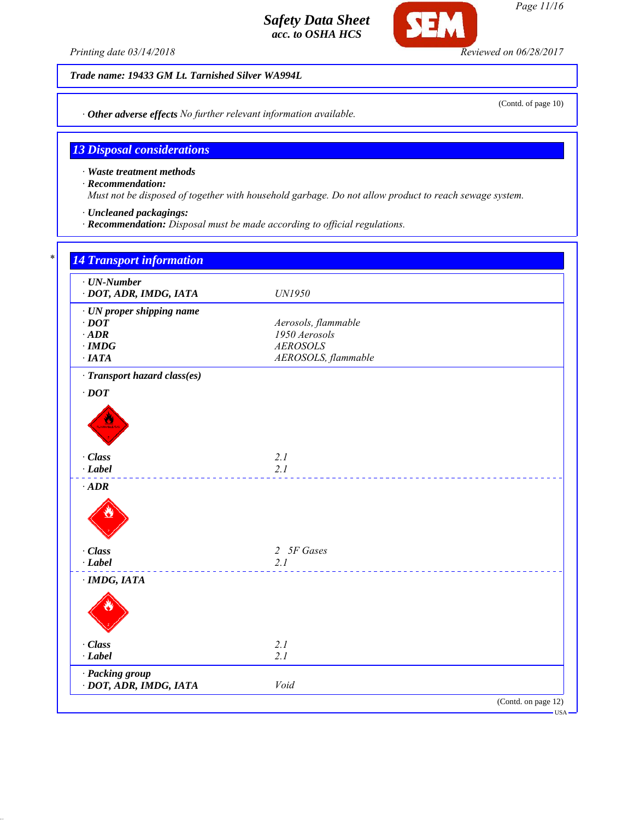

SEI

*Trade name: 19433 GM Lt. Tarnished Silver WA994L*

*· Other adverse effects No further relevant information available.*

# *13 Disposal considerations*

*· Waste treatment methods*

*· Recommendation:*

*Must not be disposed of together with household garbage. Do not allow product to reach sewage system.*

- *· Uncleaned packagings:*
- *· Recommendation: Disposal must be made according to official regulations.*

| $\cdot$ UN-Number<br>· DOT, ADR, IMDG, IATA | UN1950              |
|---------------------------------------------|---------------------|
| · UN proper shipping name                   |                     |
| $\cdot$ DOT                                 | Aerosols, flammable |
| $\cdot$ ADR                                 | 1950 Aerosols       |
| $\cdot$ IMDG                                | <b>AEROSOLS</b>     |
| $\cdot$ IATA                                | AEROSOLS, flammable |
| · Transport hazard class(es)                |                     |
| $\cdot$ DOT                                 |                     |
|                                             |                     |
|                                             |                     |
|                                             |                     |
|                                             |                     |
| · Class                                     | 2.1                 |
| $\cdot$ Label                               | 2.1                 |
|                                             |                     |
| $\cdot$ ADR                                 |                     |
|                                             |                     |
|                                             |                     |
|                                             |                     |
| · Class                                     | 2 5F Gases          |
| $-Label$                                    | 2.1                 |
| $\cdot$ IMDG, IATA                          |                     |
|                                             |                     |
|                                             |                     |
|                                             |                     |
|                                             |                     |
| · Class                                     | 2.1                 |
| $\cdot$ Label                               | 2.1                 |
|                                             |                     |
| · Packing group<br>· DOT, ADR, IMDG, IATA   | Void                |

(Contd. of page 10)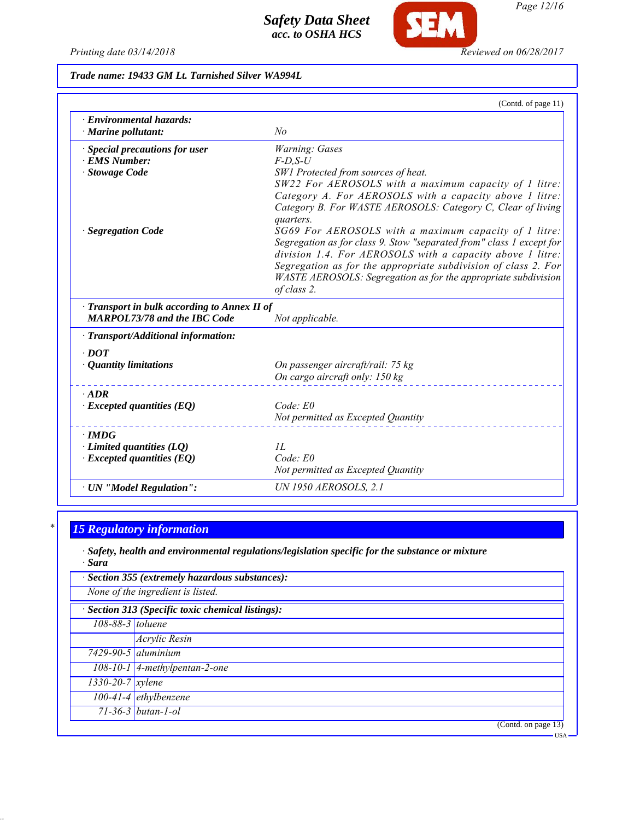*Printing date 03/14/2018 Reviewed on 06/28/2017*

**SEM** 

## *Trade name: 19433 GM Lt. Tarnished Silver WA994L*

|                                                                                     | (Contd. of page 11)                                                                                                           |
|-------------------------------------------------------------------------------------|-------------------------------------------------------------------------------------------------------------------------------|
| · Environmental hazards:<br>· Marine pollutant:                                     | No                                                                                                                            |
| · Special precautions for user                                                      | Warning: Gases                                                                                                                |
| · EMS Number:                                                                       | $F$ -D,S-U                                                                                                                    |
| · Stowage Code                                                                      | SW1 Protected from sources of heat.                                                                                           |
|                                                                                     | SW22 For AEROSOLS with a maximum capacity of 1 litre:                                                                         |
|                                                                                     | Category A. For AEROSOLS with a capacity above 1 litre:                                                                       |
|                                                                                     | Category B. For WASTE AEROSOLS: Category C, Clear of living                                                                   |
|                                                                                     | quarters.                                                                                                                     |
| <b>Segregation Code</b>                                                             | SG69 For AEROSOLS with a maximum capacity of 1 litre:<br>Segregation as for class 9. Stow "separated from" class 1 except for |
|                                                                                     | division 1.4. For AEROSOLS with a capacity above 1 litre:                                                                     |
|                                                                                     | Segregation as for the appropriate subdivision of class 2. For                                                                |
|                                                                                     | WASTE AEROSOLS: Segregation as for the appropriate subdivision                                                                |
|                                                                                     | of class 2.                                                                                                                   |
| · Transport in bulk according to Annex II of<br><b>MARPOL73/78 and the IBC Code</b> | Not applicable.                                                                                                               |
| · Transport/Additional information:                                                 |                                                                                                                               |
| $\cdot$ DOT                                                                         |                                                                                                                               |
| $\cdot$ Quantity limitations                                                        | On passenger aircraft/rail: 75 kg                                                                                             |
|                                                                                     | On cargo aircraft only: 150 kg                                                                                                |
| $\cdot$ ADR                                                                         |                                                                                                                               |
| $\cdot$ Excepted quantities (EQ)                                                    | Code: E0                                                                                                                      |
|                                                                                     | Not permitted as Excepted Quantity                                                                                            |
| $\cdot$ IMDG                                                                        |                                                                                                                               |
| $\cdot$ Limited quantities (LQ)                                                     | II.                                                                                                                           |
| $\cdot$ Excepted quantities (EQ)                                                    | Code: E0                                                                                                                      |
|                                                                                     | Not permitted as Excepted Quantity                                                                                            |
| · UN "Model Regulation":                                                            | <b>UN 1950 AEROSOLS, 2.1</b>                                                                                                  |
|                                                                                     |                                                                                                                               |

# *\* 15 Regulatory information*

*· Safety, health and environmental regulations/legislation specific for the substance or mixture · Sara*

| · Section 355 (extremely hazardous substances):   |                                 |  |
|---------------------------------------------------|---------------------------------|--|
| None of the ingredient is listed.                 |                                 |  |
| · Section 313 (Specific toxic chemical listings): |                                 |  |
| 108-88-3 toluene                                  |                                 |  |
|                                                   | Acrylic Resin                   |  |
|                                                   | $7429 - 90 - 5$ aluminium       |  |
|                                                   | $108-10-1$ 4-methylpentan-2-one |  |
| $1330 - 20 - 7$ <i>xylene</i>                     |                                 |  |
|                                                   | $100-41-4$ ethylbenzene         |  |
|                                                   | $71-36-3$ butan-1-ol            |  |
|                                                   | (Contd. on page 13)             |  |

USA

*Page 12/16*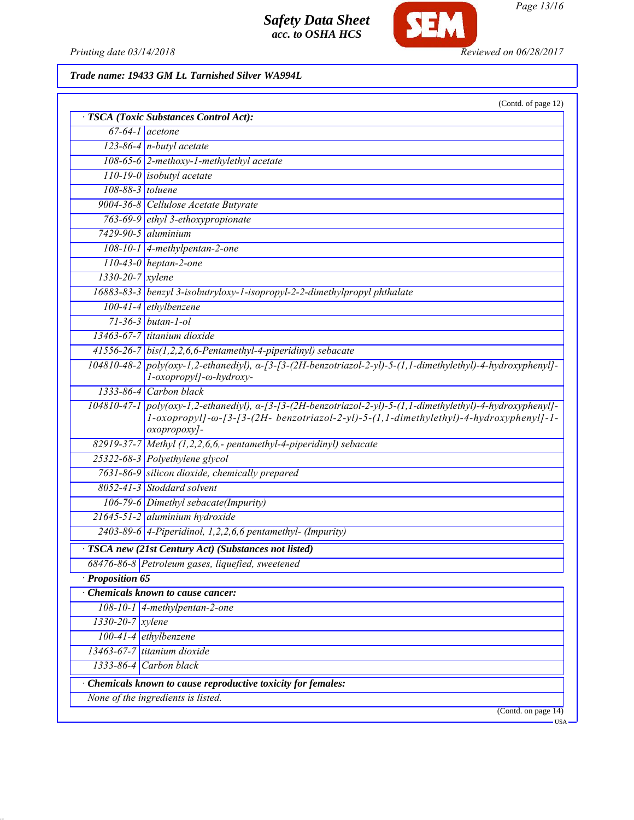

*Page 13/16*

*Printing date 03/14/2018 Reviewed on 06/28/2017*

## *Trade name: 19433 GM Lt. Tarnished Silver WA994L*

| · TSCA (Toxic Substances Control Act):<br>$\sqrt{67-64-1}$ acetone<br>$123-86-4$ n-butyl acetate<br>108-65-6 2-methoxy-1-methylethyl acetate<br>$110-19-0$ isobutyl acetate<br>108-88-3 toluene<br>9004-36-8 Cellulose Acetate Butyrate<br>763-69-9 ethyl 3-ethoxypropionate<br>$7429 - 90 - 5$ aluminium<br>$108-10-1$ 4-methylpentan-2-one<br>$110-43-0$ heptan-2-one |        |
|-------------------------------------------------------------------------------------------------------------------------------------------------------------------------------------------------------------------------------------------------------------------------------------------------------------------------------------------------------------------------|--------|
|                                                                                                                                                                                                                                                                                                                                                                         |        |
|                                                                                                                                                                                                                                                                                                                                                                         |        |
|                                                                                                                                                                                                                                                                                                                                                                         |        |
|                                                                                                                                                                                                                                                                                                                                                                         |        |
|                                                                                                                                                                                                                                                                                                                                                                         |        |
|                                                                                                                                                                                                                                                                                                                                                                         |        |
|                                                                                                                                                                                                                                                                                                                                                                         |        |
|                                                                                                                                                                                                                                                                                                                                                                         |        |
|                                                                                                                                                                                                                                                                                                                                                                         |        |
|                                                                                                                                                                                                                                                                                                                                                                         |        |
| $1330 - 20 - 7$ xylene                                                                                                                                                                                                                                                                                                                                                  |        |
| 16883-83-3   benzyl 3-isobutryloxy-1-isopropyl-2-2-dimethylpropyl phthalate                                                                                                                                                                                                                                                                                             |        |
| $100-41-4$ ethylbenzene                                                                                                                                                                                                                                                                                                                                                 |        |
| $71 - 36 - 3$ butan-1-ol                                                                                                                                                                                                                                                                                                                                                |        |
| $13463-67-7$ titanium dioxide                                                                                                                                                                                                                                                                                                                                           |        |
| $41556-26-7$ bis(1,2,2,6,6-Pentamethyl-4-piperidinyl) sebacate                                                                                                                                                                                                                                                                                                          |        |
| $104810-48-2$ poly(oxy-1,2-ethanediyl), $\alpha$ -[3-[3-(2H-benzotriazol-2-yl)-5-(1,1-dimethylethyl)-4-hydroxyphenyl]-<br>l-oxopropyl]-ω-hydroxy-                                                                                                                                                                                                                       |        |
| $1333-86-4$ Carbon black                                                                                                                                                                                                                                                                                                                                                |        |
| 104810-47-1 poly(oxy-1,2-ethanediyl), a-[3-[3-(2H-benzotriazol-2-yl)-5-(1,1-dimethylethyl)-4-hydroxyphenyl]-<br>1-oxopropyl]-ω-[3-[3-(2H- benzotriazol-2-yl)-5-(1,1-dimethylethyl)-4-hydroxyphenyl]-1-<br>oxopropoxy]-                                                                                                                                                  |        |
| $82919-37-7$ Methyl (1,2,2,6,6,- pentamethyl-4-piperidinyl) sebacate                                                                                                                                                                                                                                                                                                    |        |
| 25322-68-3 Polyethylene glycol                                                                                                                                                                                                                                                                                                                                          |        |
| 7631-86-9 silicon dioxide, chemically prepared                                                                                                                                                                                                                                                                                                                          |        |
| 8052-41-3 Stoddard solvent                                                                                                                                                                                                                                                                                                                                              |        |
| 106-79-6 Dimethyl sebacate(Impurity)                                                                                                                                                                                                                                                                                                                                    |        |
| 21645-51-2 aluminium hydroxide                                                                                                                                                                                                                                                                                                                                          |        |
| $2403-89-6$ 4-Piperidinol, 1,2,2,6,6 pentamethyl- (Impurity)                                                                                                                                                                                                                                                                                                            |        |
| TSCA new (21st Century Act) (Substances not listed)                                                                                                                                                                                                                                                                                                                     |        |
| 68476-86-8 Petroleum gases, liquefied, sweetened                                                                                                                                                                                                                                                                                                                        |        |
| Proposition 65                                                                                                                                                                                                                                                                                                                                                          |        |
| Chemicals known to cause cancer:                                                                                                                                                                                                                                                                                                                                        |        |
| $108-10-1$ 4-methylpentan-2-one                                                                                                                                                                                                                                                                                                                                         |        |
| $1330-20-7$ xylene                                                                                                                                                                                                                                                                                                                                                      |        |
| 100-41-4 ethylbenzene                                                                                                                                                                                                                                                                                                                                                   |        |
| $13463 - 67 - 7$ titanium dioxide                                                                                                                                                                                                                                                                                                                                       |        |
| 1333-86-4 Carbon black                                                                                                                                                                                                                                                                                                                                                  |        |
| Chemicals known to cause reproductive toxicity for females:                                                                                                                                                                                                                                                                                                             |        |
| None of the ingredients is listed.                                                                                                                                                                                                                                                                                                                                      |        |
| (Contd. on page 14)                                                                                                                                                                                                                                                                                                                                                     | $-USA$ |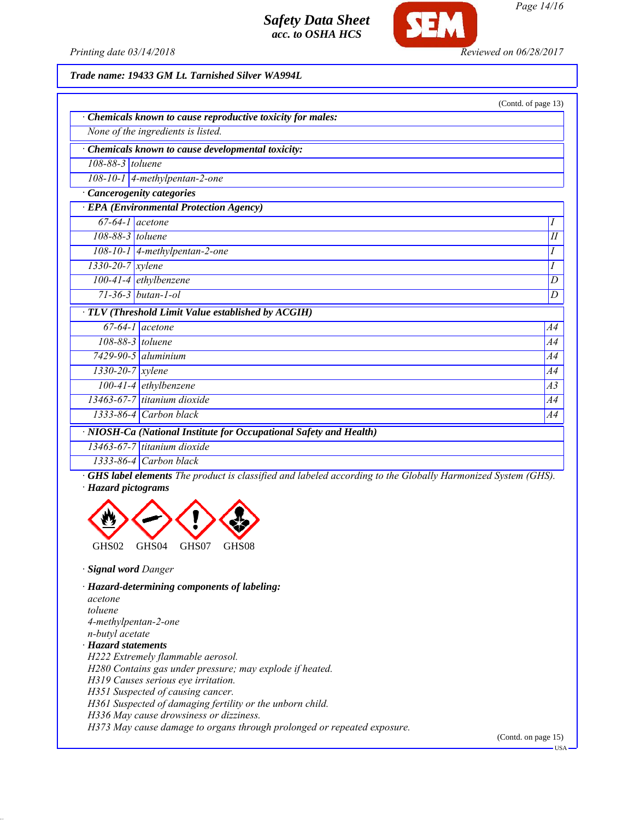

*Printing date 03/14/2018 Reviewed on 06/28/2017*

#### *Trade name: 19433 GM Lt. Tarnished Silver WA994L*

|                                                                    |                                                           | (Contd. of page 13) |  |  |
|--------------------------------------------------------------------|-----------------------------------------------------------|---------------------|--|--|
|                                                                    | Chemicals known to cause reproductive toxicity for males: |                     |  |  |
|                                                                    | None of the ingredients is listed.                        |                     |  |  |
|                                                                    | Chemicals known to cause developmental toxicity:          |                     |  |  |
| 108-88-3 toluene                                                   |                                                           |                     |  |  |
|                                                                    | $\overline{108-10-1}$   4-methylpentan-2-one              |                     |  |  |
| <b>Cancerogenity categories</b>                                    |                                                           |                     |  |  |
|                                                                    | <b>EPA</b> (Environmental Protection Agency)              |                     |  |  |
| $67-64-1$ acetone                                                  |                                                           | Ι                   |  |  |
| 108-88-3 toluene                                                   |                                                           | $\overline{H}$      |  |  |
|                                                                    | 108-10-1   4-methylpentan-2-one                           | Ι                   |  |  |
| $1330 - 20 - 7$ xylene                                             |                                                           | I                   |  |  |
|                                                                    | $100 - 41 - 4$ ethylbenzene                               | D                   |  |  |
|                                                                    | $71 - 36 - 3$ butan-1-ol                                  | $\boldsymbol{D}$    |  |  |
|                                                                    | · TLV (Threshold Limit Value established by ACGIH)        |                     |  |  |
|                                                                    | $\overline{67-64-1}$ acetone                              | A4                  |  |  |
|                                                                    | 108-88-3 toluene                                          | A4                  |  |  |
|                                                                    | $7429 - 90 - 5$ aluminium                                 | A4                  |  |  |
| $1330 - 20 - 7$ xylene                                             |                                                           | A4                  |  |  |
|                                                                    | $100-41-4$ ethylbenzene                                   | A3                  |  |  |
|                                                                    | $13463-67-7$ titanium dioxide                             | A4                  |  |  |
|                                                                    | $1333-86-4$ Carbon black                                  | A4                  |  |  |
| · NIOSH-Ca (National Institute for Occupational Safety and Health) |                                                           |                     |  |  |
|                                                                    | 13463-67-7 titanium dioxide                               |                     |  |  |
|                                                                    | $\frac{1}{2}$                                             |                     |  |  |

*1333-86-4 Carbon black*

*· GHS label elements The product is classified and labeled according to the Globally Harmonized System (GHS). · Hazard pictograms*



*· Signal word Danger*

*· Hazard-determining components of labeling: acetone toluene 4-methylpentan-2-one n-butyl acetate · Hazard statements H222 Extremely flammable aerosol. H280 Contains gas under pressure; may explode if heated. H319 Causes serious eye irritation. H351 Suspected of causing cancer. H361 Suspected of damaging fertility or the unborn child. H336 May cause drowsiness or dizziness.*

*H373 May cause damage to organs through prolonged or repeated exposure.*

(Contd. on page 15)

**HSA** 

*Page 14/16*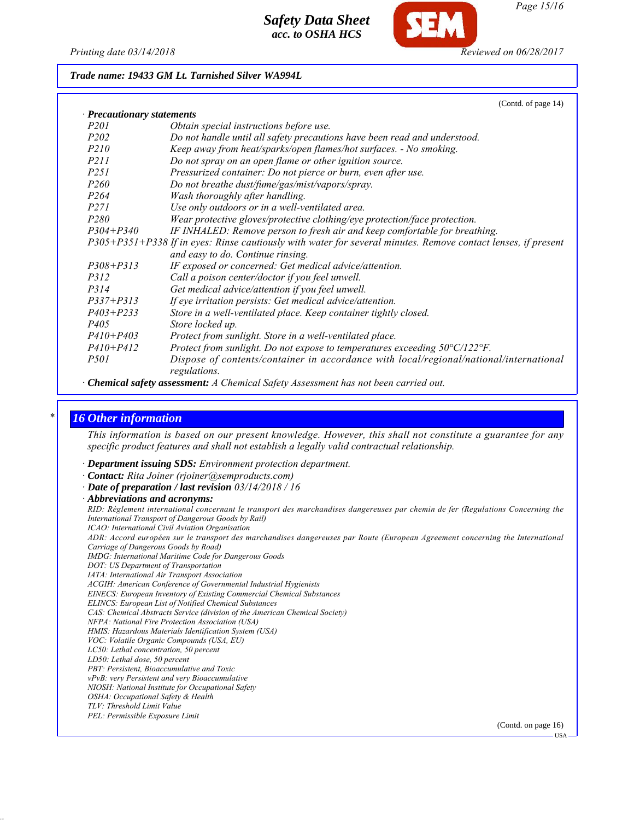

*Trade name: 19433 GM Lt. Tarnished Silver WA994L*

|                            | $($ Colliu. Of page $14)$                                                                                                                                                                                                                                                                                                          |
|----------------------------|------------------------------------------------------------------------------------------------------------------------------------------------------------------------------------------------------------------------------------------------------------------------------------------------------------------------------------|
| · Precautionary statements |                                                                                                                                                                                                                                                                                                                                    |
| <i>P201</i>                | Obtain special instructions before use.                                                                                                                                                                                                                                                                                            |
| <i>P202</i>                | Do not handle until all safety precautions have been read and understood.                                                                                                                                                                                                                                                          |
| <i>P210</i>                | Keep away from heat/sparks/open flames/hot surfaces. - No smoking.                                                                                                                                                                                                                                                                 |
| <i>P211</i>                | Do not spray on an open flame or other ignition source.                                                                                                                                                                                                                                                                            |
| <i>P251</i>                | Pressurized container: Do not pierce or burn, even after use.                                                                                                                                                                                                                                                                      |
| <i>P260</i>                | Do not breathe dust/fume/gas/mist/vapors/spray.                                                                                                                                                                                                                                                                                    |
| P <sub>264</sub>           | Wash thoroughly after handling.                                                                                                                                                                                                                                                                                                    |
| <i>P271</i>                | Use only outdoors or in a well-ventilated area.                                                                                                                                                                                                                                                                                    |
| P <sub>280</sub>           | Wear protective gloves/protective clothing/eye protection/face protection.                                                                                                                                                                                                                                                         |
| $P304 + P340$              | IF INHALED: Remove person to fresh air and keep comfortable for breathing.                                                                                                                                                                                                                                                         |
|                            | P305+P351+P338 If in eyes: Rinse cautiously with water for several minutes. Remove contact lenses, if present                                                                                                                                                                                                                      |
|                            | and easy to do. Continue rinsing.                                                                                                                                                                                                                                                                                                  |
| $P308 + P313$              | IF exposed or concerned: Get medical advice/attention.                                                                                                                                                                                                                                                                             |
| <i>P312</i>                | Call a poison center/doctor if you feel unwell.                                                                                                                                                                                                                                                                                    |
| P314                       | Get medical advice/attention if you feel unwell.                                                                                                                                                                                                                                                                                   |
| $P337 + P313$              | If eye irritation persists: Get medical advice/attention.                                                                                                                                                                                                                                                                          |
| $P403 + P233$              | Store in a well-ventilated place. Keep container tightly closed.                                                                                                                                                                                                                                                                   |
| P <sub>405</sub>           | Store locked up.                                                                                                                                                                                                                                                                                                                   |
| $P410 + P403$              | Protect from sunlight. Store in a well-ventilated place.                                                                                                                                                                                                                                                                           |
| $P410 + P412$              | Protect from sunlight. Do not expose to temperatures exceeding $50^{\circ}C/122^{\circ}F$ .                                                                                                                                                                                                                                        |
| <i>P501</i>                | Dispose of contents/container in accordance with local/regional/national/international<br>regulations.                                                                                                                                                                                                                             |
| $\alpha$ $\alpha$ $\alpha$ | $\overline{1}$ and $\overline{1}$ and $\overline{1}$ and $\overline{1}$ and $\overline{1}$ and $\overline{1}$ and $\overline{1}$ and $\overline{1}$ and $\overline{1}$ and $\overline{1}$ and $\overline{1}$ and $\overline{1}$ and $\overline{1}$ and $\overline{1}$ and $\overline{1}$ and $\overline{1}$ and $\overline{1}$ and |

*· Chemical safety assessment: A Chemical Safety Assessment has not been carried out.*

### *\* 16 Other information*

*This information is based on our present knowledge. However, this shall not constitute a guarantee for any specific product features and shall not establish a legally valid contractual relationship.*

- *· Department issuing SDS: Environment protection department.*
- *· Contact: Rita Joiner (rjoiner@semproducts.com)*
- *· Date of preparation / last revision 03/14/2018 / 16*
- *· Abbreviations and acronyms:*

*RID: Règlement international concernant le transport des marchandises dangereuses par chemin de fer (Regulations Concerning the International Transport of Dangerous Goods by Rail) ICAO: International Civil Aviation Organisation ADR: Accord européen sur le transport des marchandises dangereuses par Route (European Agreement concerning the International Carriage of Dangerous Goods by Road) IMDG: International Maritime Code for Dangerous Goods*

- *DOT: US Department of Transportation*
- *IATA: International Air Transport Association*

*ACGIH: American Conference of Governmental Industrial Hygienists*

- *EINECS: European Inventory of Existing Commercial Chemical Substances*
- *ELINCS: European List of Notified Chemical Substances*
- *CAS: Chemical Abstracts Service (division of the American Chemical Society)*

*NFPA: National Fire Protection Association (USA)*

- *HMIS: Hazardous Materials Identification System (USA)*
- *VOC: Volatile Organic Compounds (USA, EU)*
- *LC50: Lethal concentration, 50 percent*
- *LD50: Lethal dose, 50 percent*
- *PBT: Persistent, Bioaccumulative and Toxic*
- *vPvB: very Persistent and very Bioaccumulative*
- *NIOSH: National Institute for Occupational Safety OSHA: Occupational Safety & Health*
- *TLV: Threshold Limit Value*
- *PEL: Permissible Exposure Limit*

(Contd. on page 16)

 $(C_{\text{outd}} \text{ of mass } 14)$ 

USA